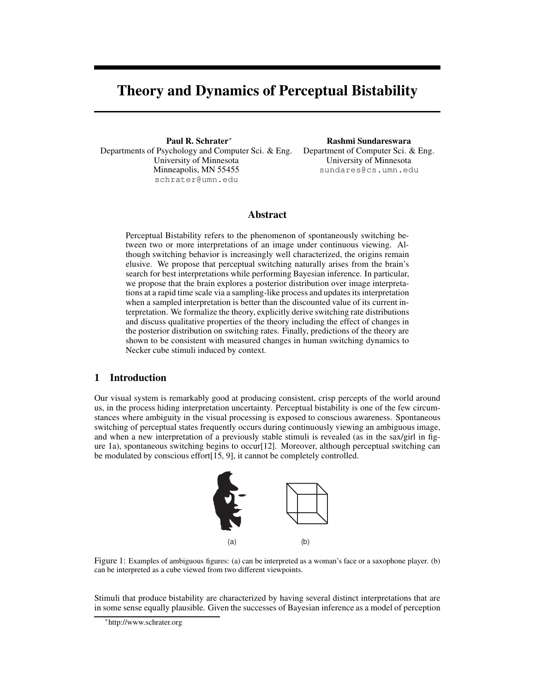# Theory and Dynamics of Perceptual Bistability

Paul R. Schrater<sup>∗</sup> Departments of Psychology and Computer Sci. & Eng. University of Minnesota Minneapolis, MN 55455 schrater@umn.edu

Rashmi Sundareswara Department of Computer Sci. & Eng. University of Minnesota sundares@cs.umn.edu

# Abstract

Perceptual Bistability refers to the phenomenon of spontaneously switching between two or more interpretations of an image under continuous viewing. Although switching behavior is increasingly well characterized, the origins remain elusive. We propose that perceptual switching naturally arises from the brain's search for best interpretations while performing Bayesian inference. In particular, we propose that the brain explores a posterior distribution over image interpretations at a rapid time scale via a sampling-like process and updates its interpretation when a sampled interpretation is better than the discounted value of its current interpretation. We formalize the theory, explicitly derive switching rate distributions and discuss qualitative properties of the theory including the effect of changes in the posterior distribution on switching rates. Finally, predictions of the theory are shown to be consistent with measured changes in human switching dynamics to Necker cube stimuli induced by context.

## 1 Introduction

Our visual system is remarkably good at producing consistent, crisp percepts of the world around us, in the process hiding interpretation uncertainty. Perceptual bistability is one of the few circumstances where ambiguity in the visual processing is exposed to conscious awareness. Spontaneous switching of perceptual states frequently occurs during continuously viewing an ambiguous image, and when a new interpretation of a previously stable stimuli is revealed (as in the sax/girl in figure 1a), spontaneous switching begins to occur[12]. Moreover, although perceptual switching can be modulated by conscious effort[15, 9], it cannot be completely controlled.



Figure 1: Examples of ambiguous figures: (a) can be interpreted as a woman's face or a saxophone player. (b) can be interpreted as a cube viewed from two different viewpoints.

Stimuli that produce bistability are characterized by having several distinct interpretations that are in some sense equally plausible. Given the successes of Bayesian inference as a model of perception

<sup>∗</sup> http://www.schrater.org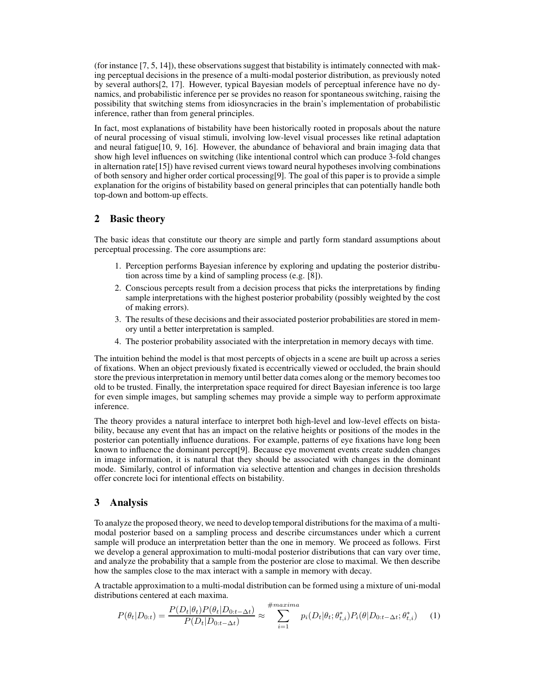(for instance [7, 5, 14]), these observations suggest that bistability is intimately connected with making perceptual decisions in the presence of a multi-modal posterior distribution, as previously noted by several authors[2, 17]. However, typical Bayesian models of perceptual inference have no dynamics, and probabilistic inference per se provides no reason for spontaneous switching, raising the possibility that switching stems from idiosyncracies in the brain's implementation of probabilistic inference, rather than from general principles.

In fact, most explanations of bistability have been historically rooted in proposals about the nature of neural processing of visual stimuli, involving low-level visual processes like retinal adaptation and neural fatigue[10, 9, 16]. However, the abundance of behavioral and brain imaging data that show high level influences on switching (like intentional control which can produce 3-fold changes in alternation rate[15]) have revised current views toward neural hypotheses involving combinations of both sensory and higher order cortical processing[9]. The goal of this paper is to provide a simple explanation for the origins of bistability based on general principles that can potentially handle both top-down and bottom-up effects.

## 2 Basic theory

The basic ideas that constitute our theory are simple and partly form standard assumptions about perceptual processing. The core assumptions are:

- 1. Perception performs Bayesian inference by exploring and updating the posterior distribution across time by a kind of sampling process (e.g. [8]).
- 2. Conscious percepts result from a decision process that picks the interpretations by finding sample interpretations with the highest posterior probability (possibly weighted by the cost of making errors).
- 3. The results of these decisions and their associated posterior probabilities are stored in memory until a better interpretation is sampled.
- 4. The posterior probability associated with the interpretation in memory decays with time.

The intuition behind the model is that most percepts of objects in a scene are built up across a series of fixations. When an object previously fixated is eccentrically viewed or occluded, the brain should store the previous interpretation in memory until better data comes along or the memory becomes too old to be trusted. Finally, the interpretation space required for direct Bayesian inference is too large for even simple images, but sampling schemes may provide a simple way to perform approximate inference.

The theory provides a natural interface to interpret both high-level and low-level effects on bistability, because any event that has an impact on the relative heights or positions of the modes in the posterior can potentially influence durations. For example, patterns of eye fixations have long been known to influence the dominant percept[9]. Because eye movement events create sudden changes in image information, it is natural that they should be associated with changes in the dominant mode. Similarly, control of information via selective attention and changes in decision thresholds offer concrete loci for intentional effects on bistability.

# 3 Analysis

To analyze the proposed theory, we need to develop temporal distributions for the maxima of a multimodal posterior based on a sampling process and describe circumstances under which a current sample will produce an interpretation better than the one in memory. We proceed as follows. First we develop a general approximation to multi-modal posterior distributions that can vary over time, and analyze the probability that a sample from the posterior are close to maximal. We then describe how the samples close to the max interact with a sample in memory with decay.

A tractable approximation to a multi-modal distribution can be formed using a mixture of uni-modal distributions centered at each maxima.

$$
P(\theta_t | D_{0:t}) = \frac{P(D_t | \theta_t) P(\theta_t | D_{0:t-\Delta t})}{P(D_t | D_{0:t-\Delta t})} \approx \sum_{i=1}^{\#maxima} p_i(D_t | \theta_t; \theta_{t,i}^*) P_i(\theta | D_{0:t-\Delta t}; \theta_{t,i}^*) \tag{1}
$$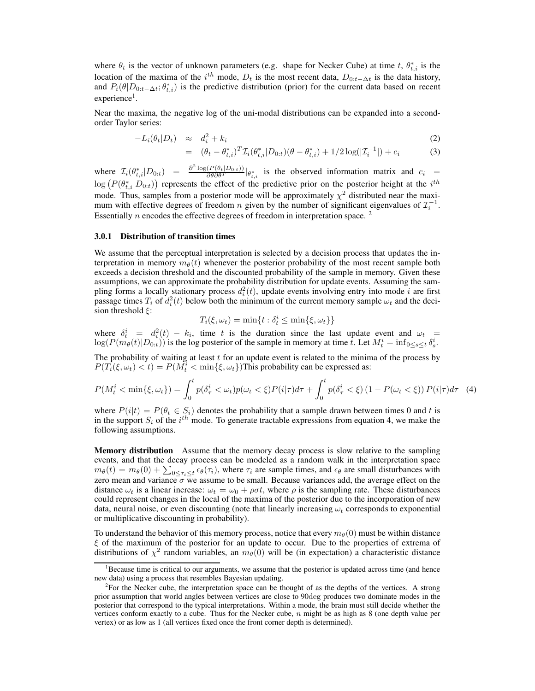where  $\theta_t$  is the vector of unknown parameters (e.g. shape for Necker Cube) at time t,  $\theta_{t,i}^*$  is the location of the maxima of the i<sup>th</sup> mode,  $D_t$  is the most recent data,  $D_{0:t-\Delta t}$  is the data history, and  $P_i(\theta|D_{0:t-\Delta t}; \theta_{t,i}^*)$  is the predictive distribution (prior) for the current data based on recent experience<sup>1</sup>.

Near the maxima, the negative log of the uni-modal distributions can be expanded into a secondorder Taylor series:

$$
-L_i(\theta_t|D_t) \approx d_i^2 + k_i \tag{2}
$$

$$
= (\theta_t - \theta_{t,i}^*)^T \mathcal{I}_i(\theta_{t,i}^* | D_{0:t})(\theta - \theta_{t,i}^*) + 1/2 \log(|\mathcal{I}_i^{-1}|) + c_i \tag{3}
$$

where  $\mathcal{I}_i(\theta^*_{t,i}|D_{0:t}) = \frac{\partial^2 \log(P(\theta_t|D_{0:t}))}{\partial \theta \partial \theta^T}|_{\theta^*_{t,i}}$  is the observed information matrix and  $c_i =$  $\log(P(\theta_{t,i}^* | D_{0:t}))$  represents the effect of the predictive prior on the posterior height at the  $i^{th}$ mode. Thus, samples from a posterior mode will be approximately  $\chi^2$  distributed near the maximum with effective degrees of freedom *n* given by the number of significant eigenvalues of  $\mathcal{I}_i^{-1}$ . Essentially  $n$  encodes the effective degrees of freedom in interpretation space.<sup>2</sup>

#### 3.0.1 Distribution of transition times

We assume that the perceptual interpretation is selected by a decision process that updates the interpretation in memory  $m_{\theta}(t)$  whenever the posterior probability of the most recent sample both exceeds a decision threshold and the discounted probability of the sample in memory. Given these assumptions, we can approximate the probability distribution for update events. Assuming the sampling forms a locally stationary process  $d_i^2(t)$ , update events involving entry into mode i are first passage times  $T_i$  of  $d_i^2(t)$  below both the minimum of the current memory sample  $\omega_t$  and the decision threshold  $\xi$ :

$$
T_i(\xi, \omega_t) = \min\{t : \delta_t^i \le \min\{\xi, \omega_t\}\}\
$$

where  $\delta_t^i = d_i^2(t) - k_i$ , time t is the duration since the last update event and  $\omega_t =$  $\log(P(m_\theta(t)|D_{0:t}))$  is the log posterior of the sample in memory at time t. Let  $M_t^i = \inf_{0 \le s \le t} \delta_s^i$ .

The probability of waiting at least  $t$  for an update event is related to the minima of the process by  $P(T_i(\xi, \omega_t) < t) = P(M_t^i < \min{\{\xi, \omega_t\}})$ This probability can be expressed as:

$$
P(M_t^i < \min\{\xi, \omega_t\}) = \int_0^t p(\delta_\tau^i < \omega_t) p(\omega_t < \xi) P(i|\tau) d\tau + \int_0^t p(\delta_\tau^i < \xi) \left(1 - P(\omega_t < \xi)\right) P(i|\tau) d\tau \tag{4}
$$

where  $P(i|t) = P(\theta_t \in S_i)$  denotes the probability that a sample drawn between times 0 and t is in the support  $S_i$  of the  $i^{th}$  mode. To generate tractable expressions from equation 4, we make the following assumptions.

Memory distribution Assume that the memory decay process is slow relative to the sampling events, and that the decay process can be modeled as a random walk in the interpretation space  $m_{\theta}(t) = m_{\theta}(0) + \sum_{0 \le \tau_i \le t} \epsilon_{\theta}(\tau_i)$ , where  $\tau_i$  are sample times, and  $\epsilon_{\theta}$  are small disturbances with zero mean and variance  $\sigma$  we assume to be small. Because variances add, the average effect on the distance  $\omega_t$  is a linear increase:  $\omega_t = \omega_0 + \rho \sigma t$ , where  $\rho$  is the sampling rate. These disturbances could represent changes in the local of the maxima of the posterior due to the incorporation of new data, neural noise, or even discounting (note that linearly increasing  $\omega_t$  corresponds to exponential or multiplicative discounting in probability).

To understand the behavior of this memory process, notice that every  $m_{\theta}(0)$  must be within distance  $\xi$  of the maximum of the posterior for an update to occur. Due to the properties of extrema of distributions of  $\chi^2$  random variables, an  $m_\theta(0)$  will be (in expectation) a characteristic distance

<sup>&</sup>lt;sup>1</sup>Because time is critical to our arguments, we assume that the posterior is updated across time (and hence new data) using a process that resembles Bayesian updating.

<sup>&</sup>lt;sup>2</sup>For the Necker cube, the interpretation space can be thought of as the depths of the vertices. A strong prior assumption that world angles between vertices are close to 90deg produces two dominate modes in the posterior that correspond to the typical interpretations. Within a mode, the brain must still decide whether the vertices conform exactly to a cube. Thus for the Necker cube,  $n$  might be as high as 8 (one depth value per vertex) or as low as 1 (all vertices fixed once the front corner depth is determined).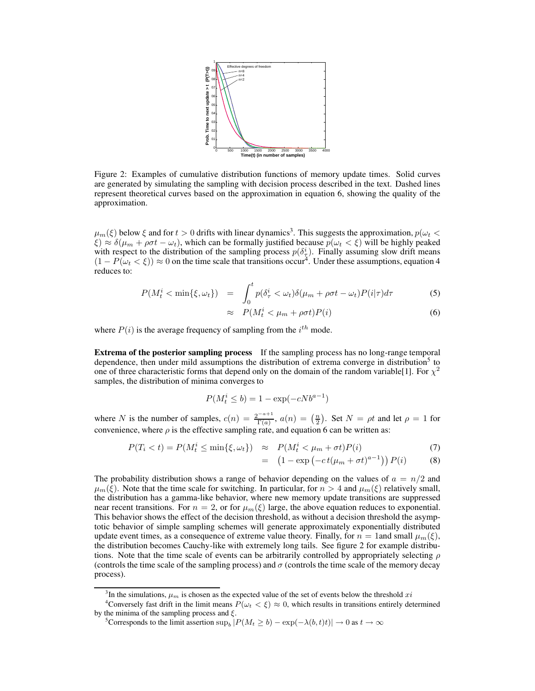

Figure 2: Examples of cumulative distribution functions of memory update times. Solid curves are generated by simulating the sampling with decision process described in the text. Dashed lines represent theoretical curves based on the approximation in equation 6, showing the quality of the approximation.

 $\mu_m(\xi)$  below  $\xi$  and for  $t>0$  drifts with linear dynamics<sup>3</sup>. This suggests the approximation,  $p(\omega_t <$  $\xi \approx \delta(\mu_m + \rho \sigma t - \omega_t)$ , which can be formally justified because  $p(\omega_t < \xi)$  will be highly peaked with respect to the distribution of the sampling process  $p(\delta^i_\tau)$ . Finally assuming slow drift means  $(1 - P(\omega_t < \xi)) \approx 0$  on the time scale that transitions occur<sup>4</sup>. Under these assumptions, equation 4 reduces to:

$$
P(M_t^i < \min\{\xi, \omega_t\}) = \int_0^t p(\delta_\tau^i < \omega_t) \delta(\mu_m + \rho \sigma t - \omega_t) P(i|\tau) d\tau
$$
 (5)

$$
\approx P(M_t^i < \mu_m + \rho \sigma t)P(i) \tag{6}
$$

where  $P(i)$  is the average frequency of sampling from the  $i^{th}$  mode.

**Extrema of the posterior sampling process** If the sampling process has no long-range temporal dependence, then under mild assumptions the distribution of extrema converge in distribution<sup>5</sup> to one of three characteristic forms that depend only on the domain of the random variable [1]. For  $\chi^2$ samples, the distribution of minima converges to

$$
P(M_t^i \le b) = 1 - \exp(-cNb^{a-1})
$$

where N is the number of samples,  $c(n) = \frac{2^{-a+1}}{\Gamma(a)}$  $\frac{(-a+1)}{\Gamma(a)}$ ,  $a(n) = \left(\frac{n}{2}\right)$ . Set  $N = \rho t$  and let  $\rho = 1$  for convenience, where  $\rho$  is the effective sampling rate, and equation 6 can be written as:

$$
P(T_i < t) = P(M_t^i \le \min\{\xi, \omega_t\}) \quad \approx \quad P(M_t^i < \mu_m + \sigma t)P(i) \tag{7}
$$

$$
= \left(1 - \exp\left(-ct(\mu_m + \sigma t)^{a-1}\right)\right)P(i) \tag{8}
$$

The probability distribution shows a range of behavior depending on the values of  $a = n/2$  and  $\mu_m(\xi)$ . Note that the time scale for switching. In particular, for  $n > 4$  and  $\mu_m(\xi)$  relatively small, the distribution has a gamma-like behavior, where new memory update transitions are suppressed near recent transitions. For  $n = 2$ , or for  $\mu_m(\xi)$  large, the above equation reduces to exponential. This behavior shows the effect of the decision threshold, as without a decision threshold the asymptotic behavior of simple sampling schemes will generate approximately exponentially distributed update event times, as a consequence of extreme value theory. Finally, for  $n = 1$  and small  $\mu_m(\xi)$ , the distribution becomes Cauchy-like with extremely long tails. See figure 2 for example distributions. Note that the time scale of events can be arbitrarily controlled by appropriately selecting  $\rho$ (controls the time scale of the sampling process) and  $\sigma$  (controls the time scale of the memory decay process).

<sup>&</sup>lt;sup>3</sup>In the simulations,  $\mu_m$  is chosen as the expected value of the set of events below the threshold xi

<sup>&</sup>lt;sup>4</sup>Conversely fast drift in the limit means  $P(\omega_t \lt \xi) \approx 0$ , which results in transitions entirely determined by the minima of the sampling process and  $\xi$ .

<sup>&</sup>lt;sup>5</sup>Corresponds to the limit assertion  $\sup_b |P(M_t \ge b) - \exp(-\lambda(b, t)t)| \to 0$  as  $t \to \infty$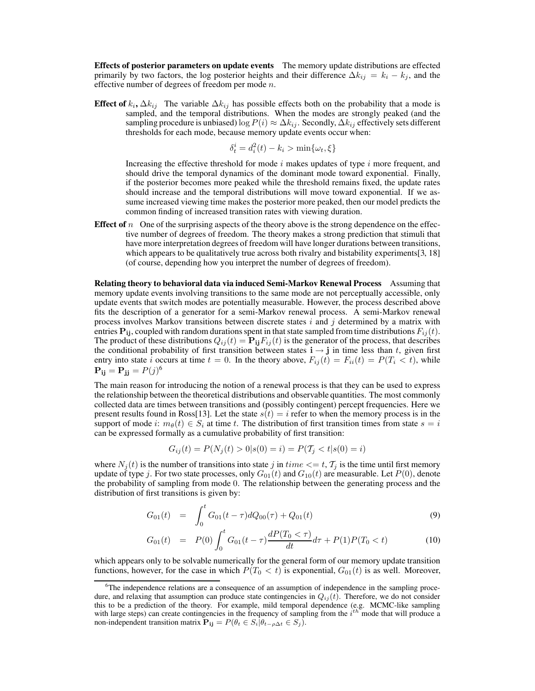Effects of posterior parameters on update events The memory update distributions are effected primarily by two factors, the log posterior heights and their difference  $\Delta k_{ij} = k_i - k_j$ , and the effective number of degrees of freedom per mode  $n$ .

**Effect of**  $k_i$ ,  $\Delta k_{ij}$  The variable  $\Delta k_{ij}$  has possible effects both on the probability that a mode is sampled, and the temporal distributions. When the modes are strongly peaked (and the sampling procedure is unbiased) log  $P(i) \approx \Delta k_{ij}$ . Secondly,  $\Delta k_{ij}$  effectively sets different thresholds for each mode, because memory update events occur when:

$$
\delta_t^i = d_i^2(t) - k_i > \min\{\omega_t, \xi\}
$$

Increasing the effective threshold for mode  $i$  makes updates of type  $i$  more frequent, and should drive the temporal dynamics of the dominant mode toward exponential. Finally, if the posterior becomes more peaked while the threshold remains fixed, the update rates should increase and the temporal distributions will move toward exponential. If we assume increased viewing time makes the posterior more peaked, then our model predicts the common finding of increased transition rates with viewing duration.

**Effect of** n One of the surprising aspects of the theory above is the strong dependence on the effective number of degrees of freedom. The theory makes a strong prediction that stimuli that have more interpretation degrees of freedom will have longer durations between transitions, which appears to be qualitatively true across both rivalry and bistability experiments[3, 18] (of course, depending how you interpret the number of degrees of freedom).

Relating theory to behavioral data via induced Semi-Markov Renewal Process Assuming that memory update events involving transitions to the same mode are not perceptually accessible, only update events that switch modes are potentially measurable. However, the process described above fits the description of a generator for a semi-Markov renewal process. A semi-Markov renewal process involves Markov transitions between discrete states  $i$  and  $j$  determined by a matrix with entries  $P_{ij}$ , coupled with random durations spent in that state sampled from time distributions  $F_{ij}(t)$ . The product of these distributions  $Q_{ij}(t) = \mathbf{P_{ij}} F_{ij}(t)$  is the generator of the process, that describes the conditional probability of first transition between states  $\mathbf{i} \rightarrow \mathbf{j}$  in time less than t, given first entry into state i occurs at time  $t = 0$ . In the theory above,  $F_{ij}(t) = F_{ii}(t) = P(T_i \lt t)$ , while  $\mathbf{P}_{ij} = \mathbf{P}_{jj} = P(j)^6$ 

The main reason for introducing the notion of a renewal process is that they can be used to express the relationship between the theoretical distributions and observable quantities. The most commonly collected data are times between transitions and (possibly contingent) percept frequencies. Here we present results found in Ross[13]. Let the state  $s(t) = i$  refer to when the memory process is in the support of mode i:  $m_{\theta}(t) \in S_i$  at time t. The distribution of first transition times from state  $s = i$ can be expressed formally as a cumulative probability of first transition:

$$
G_{ij}(t) = P(N_j(t) > 0 | s(0) = i) = P(T_j < t | s(0) = i)
$$

where  $N_j(t)$  is the number of transitions into state j in time  $\langle t, T_j \rangle$  is the time until first memory update of type j. For two state processes, only  $G_{01}(t)$  and  $G_{10}(t)$  are measurable. Let  $P(0)$ , denote the probability of sampling from mode 0. The relationship between the generating process and the distribution of first transitions is given by:

$$
G_{01}(t) = \int_0^t G_{01}(t-\tau)dQ_{00}(\tau) + Q_{01}(t)
$$
\n(9)

$$
G_{01}(t) = P(0) \int_0^t G_{01}(t-\tau) \frac{dP(T_0 < \tau)}{dt} d\tau + P(1)P(T_0 < t)
$$
 (10)

which appears only to be solvable numerically for the general form of our memory update transition functions, however, for the case in which  $P(T_0 < t)$  is exponential,  $G_{01}(t)$  is as well. Moreover,

 $6$ The independence relations are a consequence of an assumption of independence in the sampling procedure, and relaxing that assumption can produce state contingencies in  $Q_{ij}(t)$ . Therefore, we do not consider this to be a prediction of the theory. For example, mild temporal dependence (e.g. MCMC-like sampling with large steps) can create contingencies in the frequency of sampling from the  $i^{th}$  mode that will produce a non-independent transition matrix  $\mathbf{P}_{ij} = P(\theta_t \in S_i | \theta_{t-\rho\Delta t} \in S_j).$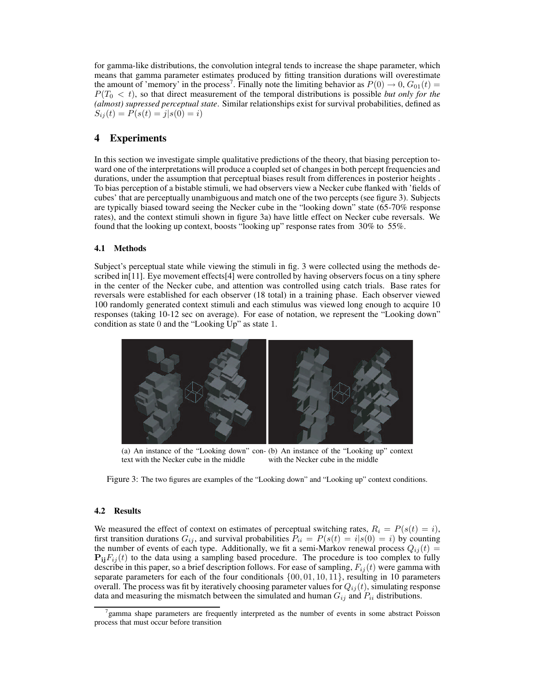for gamma-like distributions, the convolution integral tends to increase the shape parameter, which means that gamma parameter estimates produced by fitting transition durations will overestimate the amount of 'memory' in the process<sup>7</sup>. Finally note the limiting behavior as  $P(0) \rightarrow 0$ ,  $G_{01}(t) =$  $P(T_0 < t)$ , so that direct measurement of the temporal distributions is possible *but only for the (almost) supressed perceptual state*. Similar relationships exist for survival probabilities, defined as  $S_{ij}(t) = P(s(t) = j|s(0) = i)$ 

## 4 Experiments

In this section we investigate simple qualitative predictions of the theory, that biasing perception toward one of the interpretations will produce a coupled set of changes in both percept frequencies and durations, under the assumption that perceptual biases result from differences in posterior heights . To bias perception of a bistable stimuli, we had observers view a Necker cube flanked with 'fields of cubes' that are perceptually unambiguous and match one of the two percepts (see figure 3). Subjects are typically biased toward seeing the Necker cube in the "looking down" state (65-70% response rates), and the context stimuli shown in figure 3a) have little effect on Necker cube reversals. We found that the looking up context, boosts "looking up" response rates from 30% to 55%.

#### 4.1 Methods

Subject's perceptual state while viewing the stimuli in fig. 3 were collected using the methods described in[11]. Eye movement effects[4] were controlled by having observers focus on a tiny sphere in the center of the Necker cube, and attention was controlled using catch trials. Base rates for reversals were established for each observer (18 total) in a training phase. Each observer viewed 100 randomly generated context stimuli and each stimulus was viewed long enough to acquire 10 responses (taking 10-12 sec on average). For ease of notation, we represent the "Looking down" condition as state 0 and the "Looking Up" as state 1.



(a) An instance of the "Looking down" con-(b) An instance of the "Looking up" context text with the Necker cube in the middle with the Necker cube in the middle

Figure 3: The two figures are examples of the "Looking down" and "Looking up" context conditions.

#### 4.2 Results

We measured the effect of context on estimates of perceptual switching rates,  $R_i = P(s(t) = i)$ , first transition durations  $G_{ij}$ , and survival probabilities  $P_{ii} = P(s(t) = i|s(0) = i)$  by counting the number of events of each type. Additionally, we fit a semi-Markov renewal process  $Q_{ij}(t)$  =  $P_{ij}F_{ij}(t)$  to the data using a sampling based procedure. The procedure is too complex to fully describe in this paper, so a brief description follows. For ease of sampling,  $F_{ij}(t)$  were gamma with separate parameters for each of the four conditionals  $\{00, 01, 10, 11\}$ , resulting in 10 parameters overall. The process was fit by iteratively choosing parameter values for  $Q_{ij}(t)$ , simulating response data and measuring the mismatch between the simulated and human  $G_{ij}$  and  $P_{ii}$  distributions.

<sup>7</sup> gamma shape parameters are frequently interpreted as the number of events in some abstract Poisson process that must occur before transition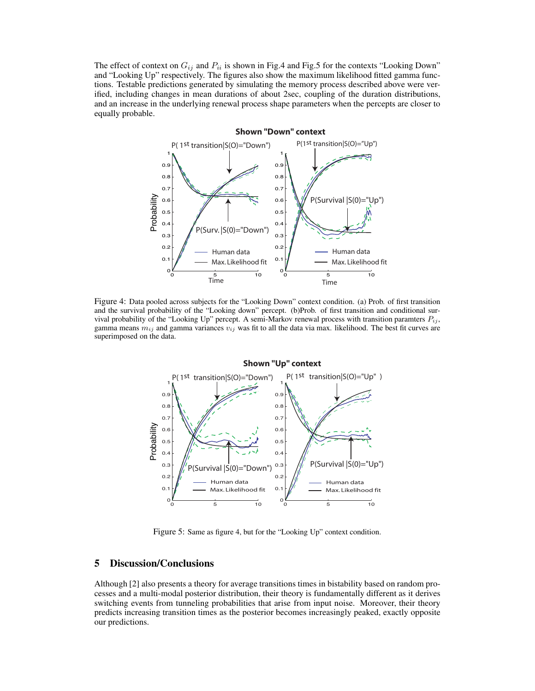The effect of context on  $G_{ij}$  and  $P_{ii}$  is shown in Fig.4 and Fig.5 for the contexts "Looking Down" and "Looking Up" respectively. The figures also show the maximum likelihood fitted gamma functions. Testable predictions generated by simulating the memory process described above were verified, including changes in mean durations of about 2sec, coupling of the duration distributions, and an increase in the underlying renewal process shape parameters when the percepts are closer to equally probable.



Figure 4: Data pooled across subjects for the "Looking Down" context condition. (a) Prob. of first transition and the survival probability of the "Looking down" percept. (b)Prob. of first transition and conditional survival probability of the "Looking Up" percept. A semi-Markov renewal process with transition paramters  $P_{ij}$ , gamma means  $m_{ij}$  and gamma variances  $v_{ij}$  was fit to all the data via max. likelihood. The best fit curves are superimposed on the data.



Figure 5: Same as figure 4, but for the "Looking Up" context condition.

## 5 Discussion/Conclusions

Although [2] also presents a theory for average transitions times in bistability based on random processes and a multi-modal posterior distribution, their theory is fundamentally different as it derives switching events from tunneling probabilities that arise from input noise. Moreover, their theory predicts increasing transition times as the posterior becomes increasingly peaked, exactly opposite our predictions.